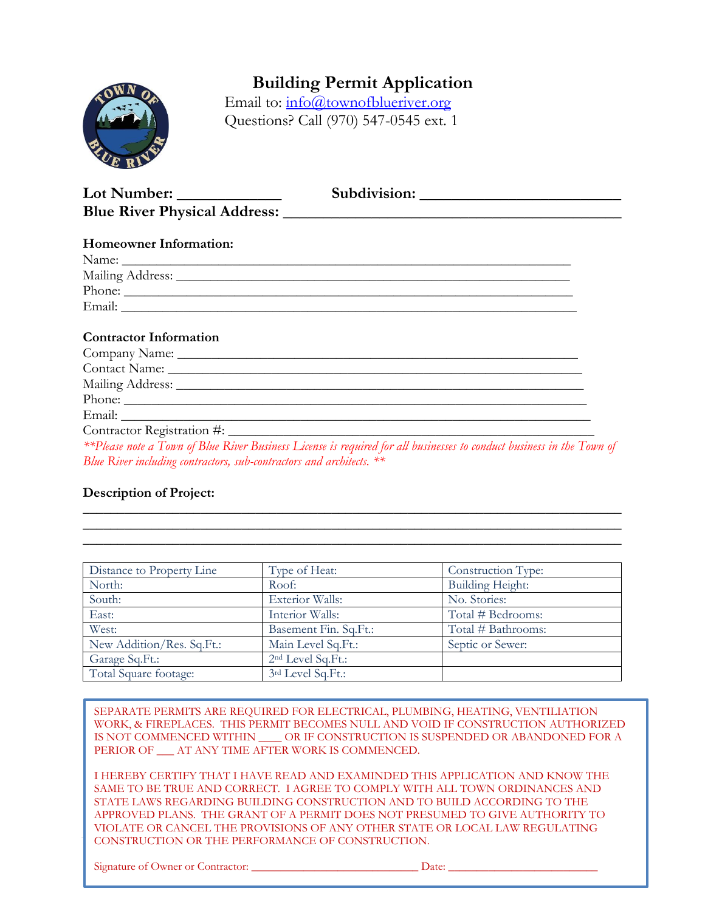

### **Building Permit Application**

Email to: [info@townofblueriver.org](mailto:info@townofblueriver.org) Questions? Call (970) 547-0545 ext. 1

| <b>Homeowner Information:</b>                                                                                                                                                                                                  |                                                                                                                                                                                                                                |
|--------------------------------------------------------------------------------------------------------------------------------------------------------------------------------------------------------------------------------|--------------------------------------------------------------------------------------------------------------------------------------------------------------------------------------------------------------------------------|
|                                                                                                                                                                                                                                |                                                                                                                                                                                                                                |
| Mailing Address: National Address: National Address: National Address: National Address: National Address: National Address: National Address: National Address: National Address: National Address: National Address: Nationa |                                                                                                                                                                                                                                |
|                                                                                                                                                                                                                                | Phone:                                                                                                                                                                                                                         |
|                                                                                                                                                                                                                                |                                                                                                                                                                                                                                |
|                                                                                                                                                                                                                                |                                                                                                                                                                                                                                |
| <b>Contractor Information</b>                                                                                                                                                                                                  |                                                                                                                                                                                                                                |
|                                                                                                                                                                                                                                |                                                                                                                                                                                                                                |
|                                                                                                                                                                                                                                |                                                                                                                                                                                                                                |
|                                                                                                                                                                                                                                | Mailing Address: National Address: National Address: National Address: National Address: National Address: National Address: National Address: National Address: National Address: National Address: National Address: Nationa |
|                                                                                                                                                                                                                                |                                                                                                                                                                                                                                |
|                                                                                                                                                                                                                                |                                                                                                                                                                                                                                |
|                                                                                                                                                                                                                                |                                                                                                                                                                                                                                |

*\*\*Please note a Town of Blue River Business License is required for all businesses to conduct business in the Town of Blue River including contractors, sub-contractors and architects. \*\**

\_\_\_\_\_\_\_\_\_\_\_\_\_\_\_\_\_\_\_\_\_\_\_\_\_\_\_\_\_\_\_\_\_\_\_\_\_\_\_\_\_\_\_\_\_\_\_\_\_\_\_\_\_\_\_\_\_\_\_\_\_\_\_\_\_\_\_\_\_\_\_\_\_\_\_\_\_\_ \_\_\_\_\_\_\_\_\_\_\_\_\_\_\_\_\_\_\_\_\_\_\_\_\_\_\_\_\_\_\_\_\_\_\_\_\_\_\_\_\_\_\_\_\_\_\_\_\_\_\_\_\_\_\_\_\_\_\_\_\_\_\_\_\_\_\_\_\_\_\_\_\_\_\_\_\_\_ \_\_\_\_\_\_\_\_\_\_\_\_\_\_\_\_\_\_\_\_\_\_\_\_\_\_\_\_\_\_\_\_\_\_\_\_\_\_\_\_\_\_\_\_\_\_\_\_\_\_\_\_\_\_\_\_\_\_\_\_\_\_\_\_\_\_\_\_\_\_\_\_\_\_\_\_\_\_

#### **Description of Project:**

| Distance to Property Line | Type of Heat:                 | Construction Type: |
|---------------------------|-------------------------------|--------------------|
| North:                    | Roof:                         | Building Height:   |
| South:                    | <b>Exterior Walls:</b>        | No. Stories:       |
| East:                     | Interior Walls:               | Total # Bedrooms:  |
| West:                     | Basement Fin. Sq.Ft.:         | Total # Bathrooms: |
| New Addition/Res. Sq.Ft.: | Main Level Sq.Ft.:            | Septic or Sewer:   |
| Garage Sq.Ft.:            | 2 <sup>nd</sup> Level Sq.Ft.: |                    |
| Total Square footage:     | 3rd Level Sq.Ft.:             |                    |

SEPARATE PERMITS ARE REQUIRED FOR ELECTRICAL, PLUMBING, HEATING, VENTILIATION WORK, & FIREPLACES. THIS PERMIT BECOMES NULL AND VOID IF CONSTRUCTION AUTHORIZED IS NOT COMMENCED WITHIN \_\_\_\_ OR IF CONSTRUCTION IS SUSPENDED OR ABANDONED FOR A PERIOR OF \_\_\_ AT ANY TIME AFTER WORK IS COMMENCED.

**1** CONSTRUCTION OR THE PERFORMANCE OF CONSTRUCTION. I HEREBY CERTIFY THAT I HAVE READ AND EXAMINDED THIS APPLICATION AND KNOW THE SAME TO BE TRUE AND CORRECT. I AGREE TO COMPLY WITH ALL TOWN ORDINANCES AND STATE LAWS REGARDING BUILDING CONSTRUCTION AND TO BUILD ACCORDING TO THE APPROVED PLANS. THE GRANT OF A PERMIT DOES NOT PRESUMED TO GIVE AUTHORITY TO VIOLATE OR CANCEL THE PROVISIONS OF ANY OTHER STATE OR LOCAL LAW REGULATING

Signature of Owner or Contractor: \_\_\_\_\_\_\_\_\_\_\_\_\_\_\_\_\_\_\_\_\_\_\_\_\_\_\_\_\_ Date: \_\_\_\_\_\_\_\_\_\_\_\_\_\_\_\_\_\_\_\_\_\_\_\_\_\_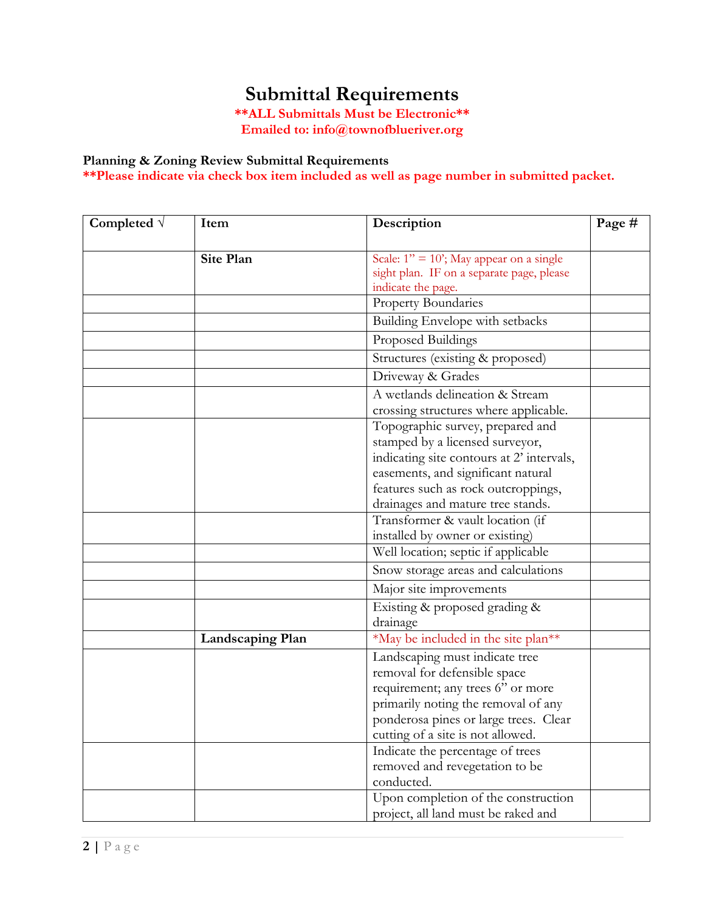# **Submittal Requirements**

**\*\*ALL Submittals Must be Electronic\*\* Emailed to: info@townofblueriver.org**

### **Planning & Zoning Review Submittal Requirements**

**\*\*Please indicate via check box item included as well as page number in submitted packet.**

| Completed $\sqrt{}$ | Item                    | Description                                                                                                                                                                                                                        | Page # |
|---------------------|-------------------------|------------------------------------------------------------------------------------------------------------------------------------------------------------------------------------------------------------------------------------|--------|
|                     | <b>Site Plan</b>        | Scale: $1'' = 10'$ ; May appear on a single<br>sight plan. IF on a separate page, please                                                                                                                                           |        |
|                     |                         | indicate the page.                                                                                                                                                                                                                 |        |
|                     |                         | Property Boundaries                                                                                                                                                                                                                |        |
|                     |                         | Building Envelope with setbacks                                                                                                                                                                                                    |        |
|                     |                         | Proposed Buildings                                                                                                                                                                                                                 |        |
|                     |                         | Structures (existing & proposed)                                                                                                                                                                                                   |        |
|                     |                         | Driveway & Grades                                                                                                                                                                                                                  |        |
|                     |                         | A wetlands delineation & Stream<br>crossing structures where applicable.                                                                                                                                                           |        |
|                     |                         | Topographic survey, prepared and<br>stamped by a licensed surveyor,<br>indicating site contours at 2' intervals,<br>easements, and significant natural<br>features such as rock outcroppings,<br>drainages and mature tree stands. |        |
|                     |                         | Transformer & vault location (if<br>installed by owner or existing)                                                                                                                                                                |        |
|                     |                         | Well location; septic if applicable                                                                                                                                                                                                |        |
|                     |                         | Snow storage areas and calculations                                                                                                                                                                                                |        |
|                     |                         | Major site improvements                                                                                                                                                                                                            |        |
|                     |                         | Existing & proposed grading &<br>drainage                                                                                                                                                                                          |        |
|                     | <b>Landscaping Plan</b> | *May be included in the site plan**                                                                                                                                                                                                |        |
|                     |                         | Landscaping must indicate tree<br>removal for defensible space<br>requirement; any trees 6" or more<br>primarily noting the removal of any<br>ponderosa pines or large trees. Clear<br>cutting of a site is not allowed.           |        |
|                     |                         | Indicate the percentage of trees<br>removed and revegetation to be<br>conducted.                                                                                                                                                   |        |
|                     |                         | Upon completion of the construction<br>project, all land must be raked and                                                                                                                                                         |        |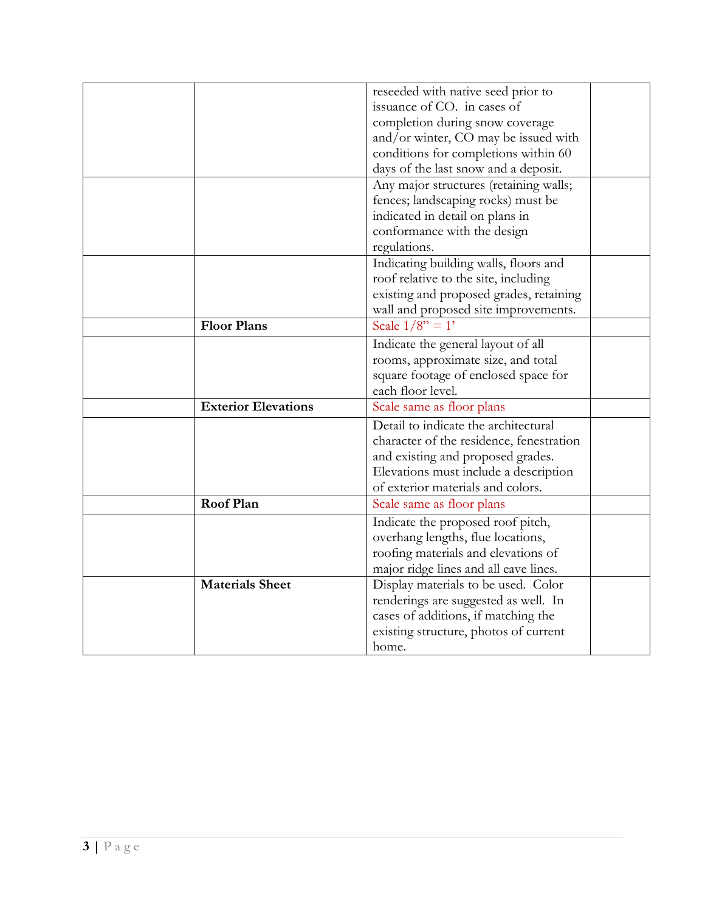|                            | reseeded with native seed prior to       |
|----------------------------|------------------------------------------|
|                            | issuance of CO. in cases of              |
|                            | completion during snow coverage          |
|                            | and/or winter, CO may be issued with     |
|                            |                                          |
|                            | conditions for completions within 60     |
|                            | days of the last snow and a deposit.     |
|                            | Any major structures (retaining walls;   |
|                            | fences; landscaping rocks) must be       |
|                            | indicated in detail on plans in          |
|                            | conformance with the design              |
|                            | regulations.                             |
|                            | Indicating building walls, floors and    |
|                            | roof relative to the site, including     |
|                            | existing and proposed grades, retaining  |
|                            | wall and proposed site improvements.     |
| <b>Floor Plans</b>         | Scale $1/8$ " = 1'                       |
|                            | Indicate the general layout of all       |
|                            | rooms, approximate size, and total       |
|                            | square footage of enclosed space for     |
|                            | each floor level.                        |
| <b>Exterior Elevations</b> | Scale same as floor plans                |
|                            | Detail to indicate the architectural     |
|                            | character of the residence, fenestration |
|                            | and existing and proposed grades.        |
|                            | Elevations must include a description    |
|                            | of exterior materials and colors.        |
| Roof Plan                  | Scale same as floor plans                |
|                            | Indicate the proposed roof pitch,        |
|                            | overhang lengths, flue locations,        |
|                            | roofing materials and elevations of      |
|                            | major ridge lines and all eave lines.    |
| <b>Materials Sheet</b>     | Display materials to be used. Color      |
|                            | renderings are suggested as well. In     |
|                            | cases of additions, if matching the      |
|                            | existing structure, photos of current    |
|                            | home.                                    |
|                            |                                          |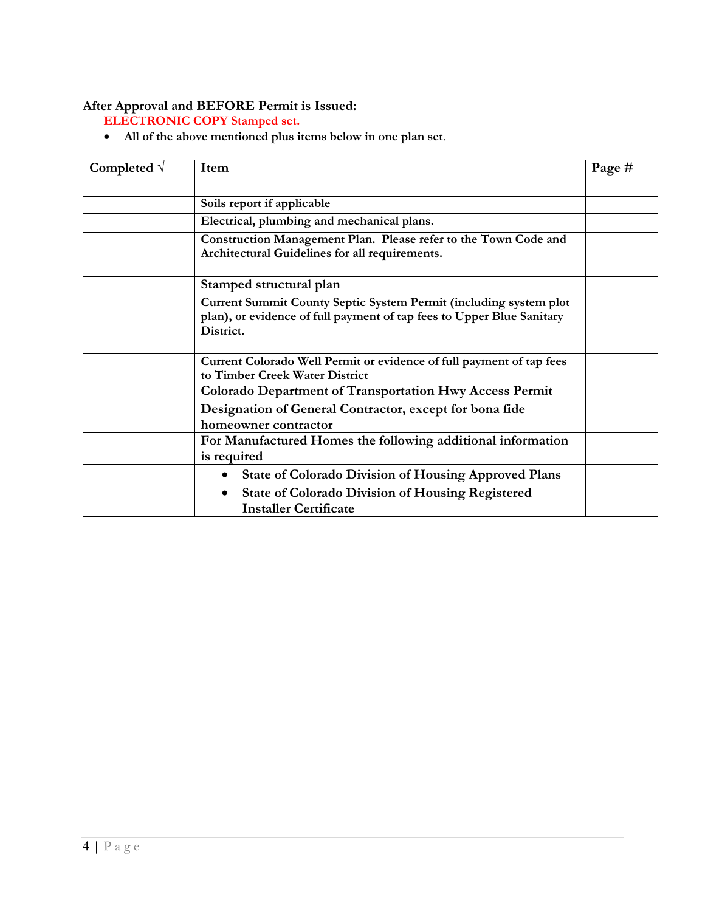#### **After Approval and BEFORE Permit is Issued:**

**ELECTRONIC COPY Stamped set.**

• **All of the above mentioned plus items below in one plan set**.

| Completed $\sqrt{}$ | Item                                                                                                                                                    | Page # |
|---------------------|---------------------------------------------------------------------------------------------------------------------------------------------------------|--------|
|                     | Soils report if applicable                                                                                                                              |        |
|                     | Electrical, plumbing and mechanical plans.                                                                                                              |        |
|                     | Construction Management Plan. Please refer to the Town Code and<br>Architectural Guidelines for all requirements.                                       |        |
|                     | Stamped structural plan                                                                                                                                 |        |
|                     | Current Summit County Septic System Permit (including system plot<br>plan), or evidence of full payment of tap fees to Upper Blue Sanitary<br>District. |        |
|                     | Current Colorado Well Permit or evidence of full payment of tap fees<br>to Timber Creek Water District                                                  |        |
|                     | <b>Colorado Department of Transportation Hwy Access Permit</b>                                                                                          |        |
|                     | Designation of General Contractor, except for bona fide<br>homeowner contractor                                                                         |        |
|                     | For Manufactured Homes the following additional information<br>is required                                                                              |        |
|                     | <b>State of Colorado Division of Housing Approved Plans</b><br>$\bullet$                                                                                |        |
|                     | <b>State of Colorado Division of Housing Registered</b><br>$\bullet$<br><b>Installer Certificate</b>                                                    |        |